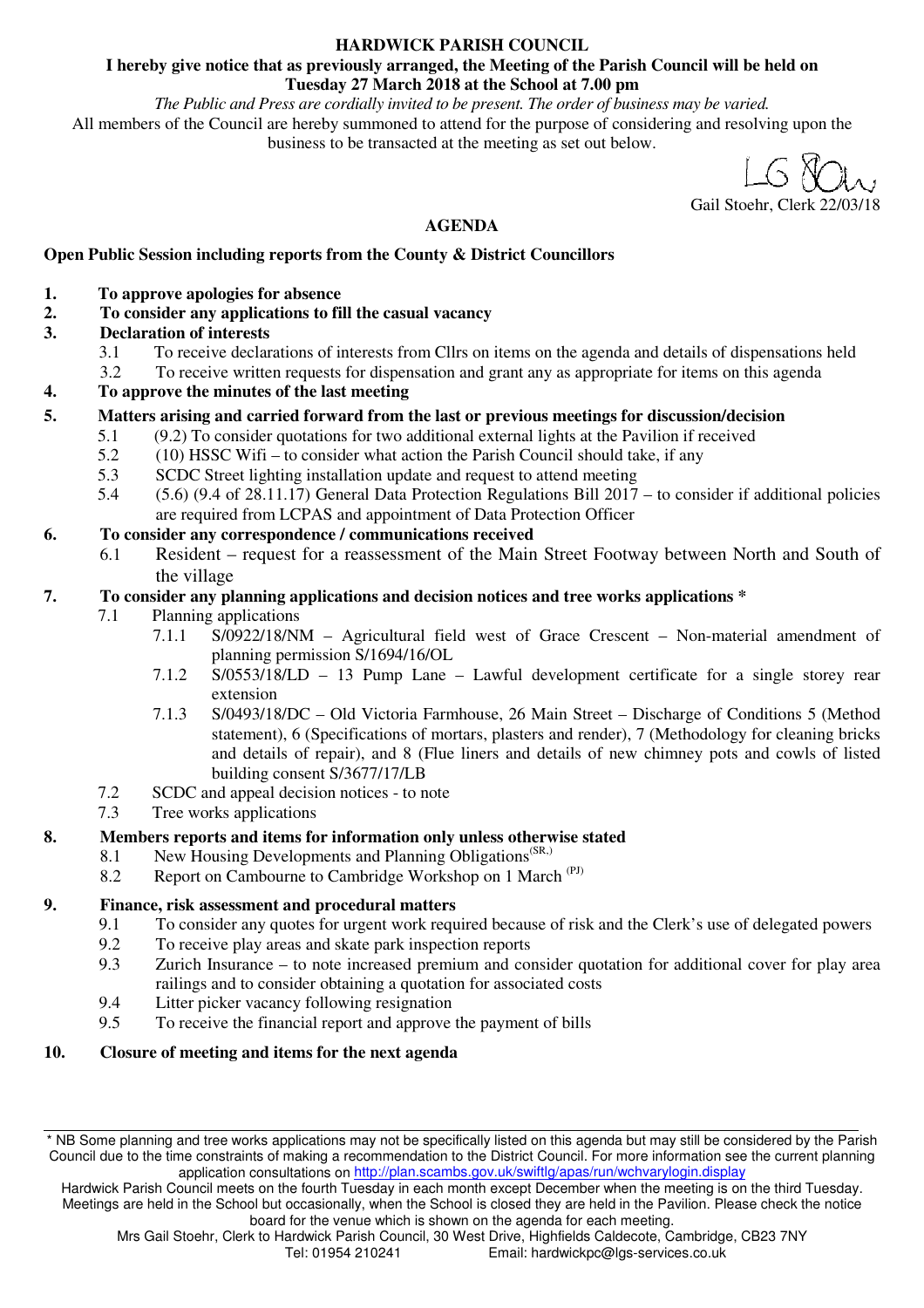### **HARDWICK PARISH COUNCIL**

#### **I hereby give notice that as previously arranged, the Meeting of the Parish Council will be held on Tuesday 27 March 2018 at the School at 7.00 pm**

*The Public and Press are cordially invited to be present. The order of business may be varied.*  All members of the Council are hereby summoned to attend for the purpose of considering and resolving upon the business to be transacted at the meeting as set out below.

Gail Stoehr, Clerk 22/03/18

# **AGENDA**

# **Open Public Session including reports from the County & District Councillors**

- **1. To approve apologies for absence**
- **2. To consider any applications to fill the casual vacancy**
- **3. Declaration of interests** 
	- 3.1 To receive declarations of interests from Cllrs on items on the agenda and details of dispensations held
	- 3.2 To receive written requests for dispensation and grant any as appropriate for items on this agenda
- **4. To approve the minutes of the last meeting**

# **5. Matters arising and carried forward from the last or previous meetings for discussion/decision**

- 5.1 (9.2) To consider quotations for two additional external lights at the Pavilion if received
- 5.2 (10) HSSC Wifi to consider what action the Parish Council should take, if any
- 5.3 SCDC Street lighting installation update and request to attend meeting
- 5.4 (5.6) (9.4 of 28.11.17) General Data Protection Regulations Bill 2017 to consider if additional policies are required from LCPAS and appointment of Data Protection Officer

### **6. To consider any correspondence / communications received**

6.1 Resident – request for a reassessment of the Main Street Footway between North and South of the village

# **7. To consider any planning applications and decision notices and tree works applications \***

- 7.1 Planning applications
	- 7.1.1 S/0922/18/NM Agricultural field west of Grace Crescent Non-material amendment of planning permission S/1694/16/OL
	- 7.1.2 S/0553/18/LD 13 Pump Lane Lawful development certificate for a single storey rear extension
	- 7.1.3 S/0493/18/DC Old Victoria Farmhouse, 26 Main Street Discharge of Conditions 5 (Method statement), 6 (Specifications of mortars, plasters and render), 7 (Methodology for cleaning bricks and details of repair), and 8 (Flue liners and details of new chimney pots and cowls of listed building consent S/3677/17/LB
	- 7.2 SCDC and appeal decision notices to note<br>7.3 Tree works applications
	- Tree works applications

# **8. Members reports and items for information only unless otherwise stated**

- 8.1 New Housing Developments and Planning Obligations<sup>(SR,)</sup>
- 8.2 Report on Cambourne to Cambridge Workshop on 1 March (PJ)

# **9. Finance, risk assessment and procedural matters**

- 9.1 To consider any quotes for urgent work required because of risk and the Clerk's use of delegated powers<br>9.2 To receive play areas and skate park inspection reports
- To receive play areas and skate park inspection reports
- 9.3 Zurich Insurance to note increased premium and consider quotation for additional cover for play area railings and to consider obtaining a quotation for associated costs
- 9.4 Litter picker vacancy following resignation
- 9.5 To receive the financial report and approve the payment of bills

### **10. Closure of meeting and items for the next agenda**

<sup>\*</sup> NB Some planning and tree works applications may not be specifically listed on this agenda but may still be considered by the Parish Council due to the time constraints of making a recommendation to the District Council. For more information see the current planning application consultations on http://plan.scambs.gov.uk/swiftlg/apas/run/wchvarylogin.display

Hardwick Parish Council meets on the fourth Tuesday in each month except December when the meeting is on the third Tuesday. Meetings are held in the School but occasionally, when the School is closed they are held in the Pavilion. Please check the notice board for the venue which is shown on the agenda for each meeting.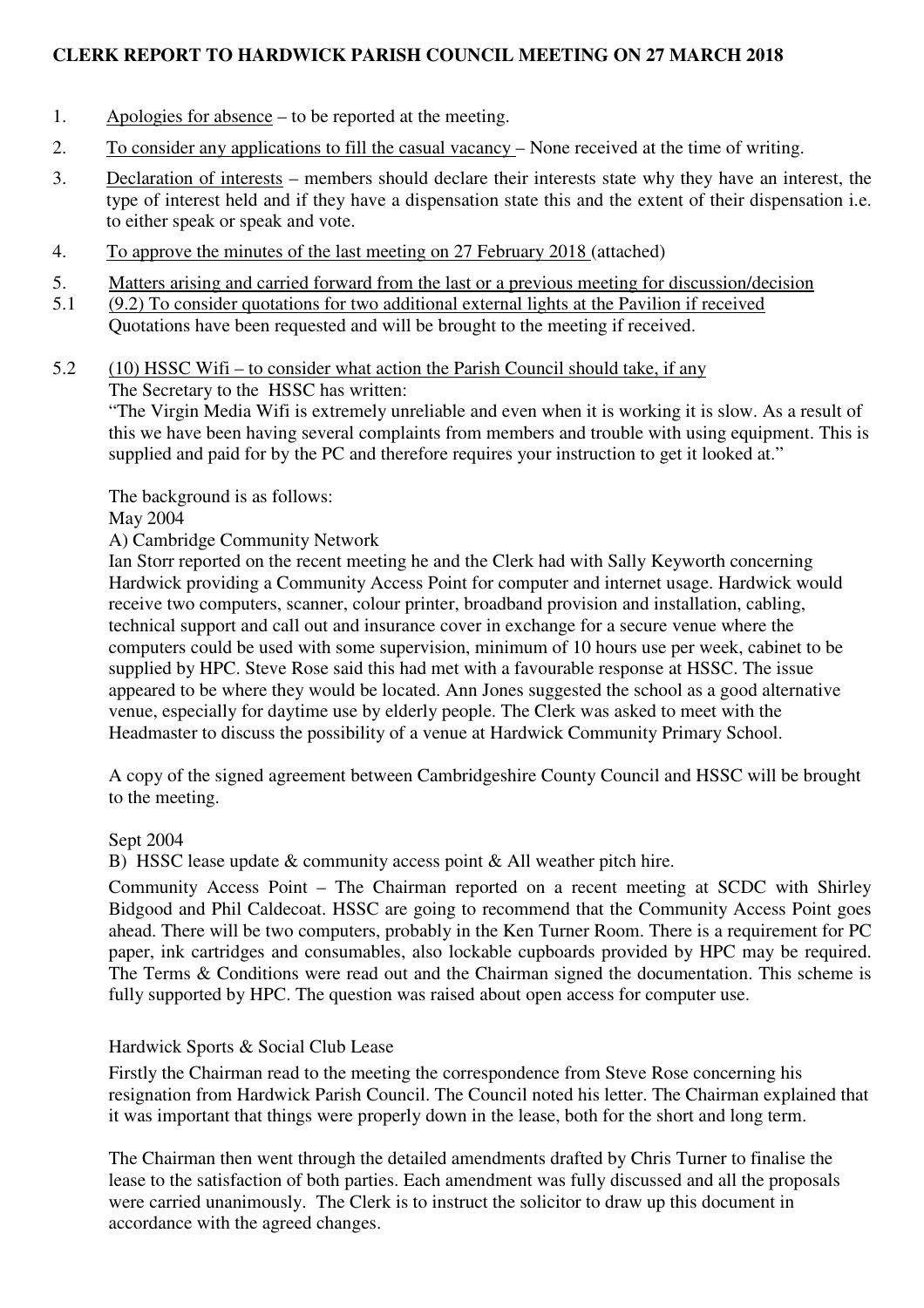# **CLERK REPORT TO HARDWICK PARISH COUNCIL MEETING ON 27 MARCH 2018**

- 1. Apologies for absence to be reported at the meeting.
- 2. To consider any applications to fill the casual vacancy None received at the time of writing.
- 3. Declaration of interests members should declare their interests state why they have an interest, the type of interest held and if they have a dispensation state this and the extent of their dispensation i.e. to either speak or speak and vote.
- 4. To approve the minutes of the last meeting on 27 February 2018 (attached)
- 5. Matters arising and carried forward from the last or a previous meeting for discussion/decision<br>5.1 (9.2) To consider auotations for two additional external lights at the Pavilion if received
- 5.1 (9.2) To consider quotations for two additional external lights at the Pavilion if received
	- Quotations have been requested and will be brought to the meeting if received.
- 5.2 (10) HSSC Wifi to consider what action the Parish Council should take, if any The Secretary to the HSSC has written:

"The Virgin Media Wifi is extremely unreliable and even when it is working it is slow. As a result of this we have been having several complaints from members and trouble with using equipment. This is supplied and paid for by the PC and therefore requires your instruction to get it looked at."

The background is as follows:

# May 2004

A) Cambridge Community Network

Ian Storr reported on the recent meeting he and the Clerk had with Sally Keyworth concerning Hardwick providing a Community Access Point for computer and internet usage. Hardwick would receive two computers, scanner, colour printer, broadband provision and installation, cabling, technical support and call out and insurance cover in exchange for a secure venue where the computers could be used with some supervision, minimum of 10 hours use per week, cabinet to be supplied by HPC. Steve Rose said this had met with a favourable response at HSSC. The issue appeared to be where they would be located. Ann Jones suggested the school as a good alternative venue, especially for daytime use by elderly people. The Clerk was asked to meet with the Headmaster to discuss the possibility of a venue at Hardwick Community Primary School.

A copy of the signed agreement between Cambridgeshire County Council and HSSC will be brought to the meeting.

### Sept 2004

B) HSSC lease update & community access point & All weather pitch hire.

Community Access Point – The Chairman reported on a recent meeting at SCDC with Shirley Bidgood and Phil Caldecoat. HSSC are going to recommend that the Community Access Point goes ahead. There will be two computers, probably in the Ken Turner Room. There is a requirement for PC paper, ink cartridges and consumables, also lockable cupboards provided by HPC may be required. The Terms & Conditions were read out and the Chairman signed the documentation. This scheme is fully supported by HPC. The question was raised about open access for computer use.

### Hardwick Sports & Social Club Lease

Firstly the Chairman read to the meeting the correspondence from Steve Rose concerning his resignation from Hardwick Parish Council. The Council noted his letter. The Chairman explained that it was important that things were properly down in the lease, both for the short and long term.

The Chairman then went through the detailed amendments drafted by Chris Turner to finalise the lease to the satisfaction of both parties. Each amendment was fully discussed and all the proposals were carried unanimously. The Clerk is to instruct the solicitor to draw up this document in accordance with the agreed changes.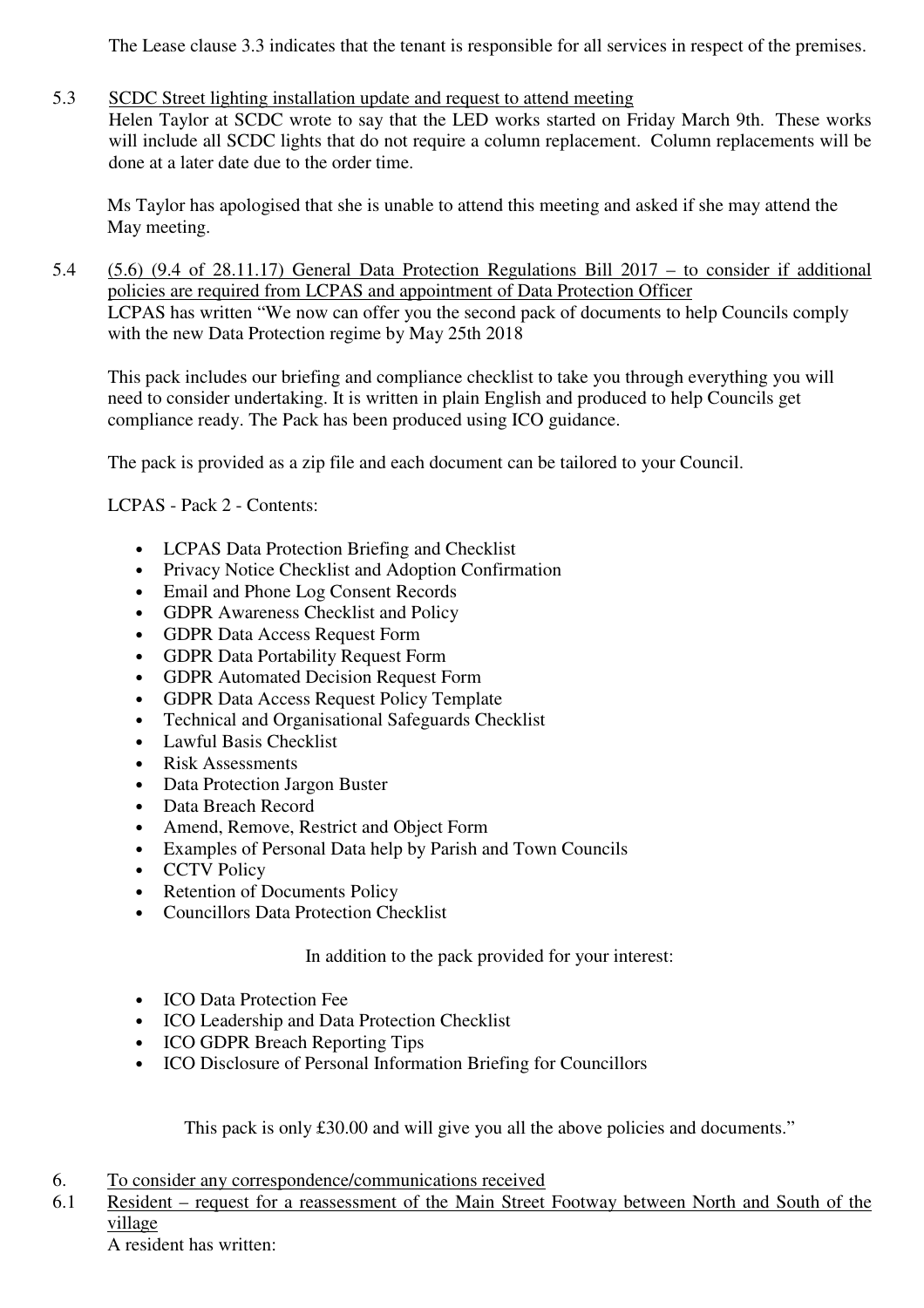The Lease clause 3.3 indicates that the tenant is responsible for all services in respect of the premises.

# 5.3 SCDC Street lighting installation update and request to attend meeting

Helen Taylor at SCDC wrote to say that the LED works started on Friday March 9th. These works will include all SCDC lights that do not require a column replacement. Column replacements will be done at a later date due to the order time.

Ms Taylor has apologised that she is unable to attend this meeting and asked if she may attend the May meeting.

5.4 (5.6) (9.4 of 28.11.17) General Data Protection Regulations Bill 2017 – to consider if additional policies are required from LCPAS and appointment of Data Protection Officer LCPAS has written "We now can offer you the second pack of documents to help Councils comply with the new Data Protection regime by May 25th 2018

This pack includes our briefing and compliance checklist to take you through everything you will need to consider undertaking. It is written in plain English and produced to help Councils get compliance ready. The Pack has been produced using ICO guidance.

The pack is provided as a zip file and each document can be tailored to your Council.

LCPAS - Pack 2 - Contents:

- LCPAS Data Protection Briefing and Checklist
- Privacy Notice Checklist and Adoption Confirmation
- Email and Phone Log Consent Records
- GDPR Awareness Checklist and Policy
- GDPR Data Access Request Form
- GDPR Data Portability Request Form
- GDPR Automated Decision Request Form
- GDPR Data Access Request Policy Template
- Technical and Organisational Safeguards Checklist
- Lawful Basis Checklist
- Risk Assessments
- Data Protection Jargon Buster
- Data Breach Record
- Amend, Remove, Restrict and Object Form
- Examples of Personal Data help by Parish and Town Councils
- CCTV Policy
- Retention of Documents Policy
- Councillors Data Protection Checklist

In addition to the pack provided for your interest:

- **ICO Data Protection Fee**
- ICO Leadership and Data Protection Checklist
- ICO GDPR Breach Reporting Tips
- ICO Disclosure of Personal Information Briefing for Councillors

This pack is only £30.00 and will give you all the above policies and documents."

- 6. To consider any correspondence/communications received
- 6.1 Resident request for a reassessment of the Main Street Footway between North and South of the village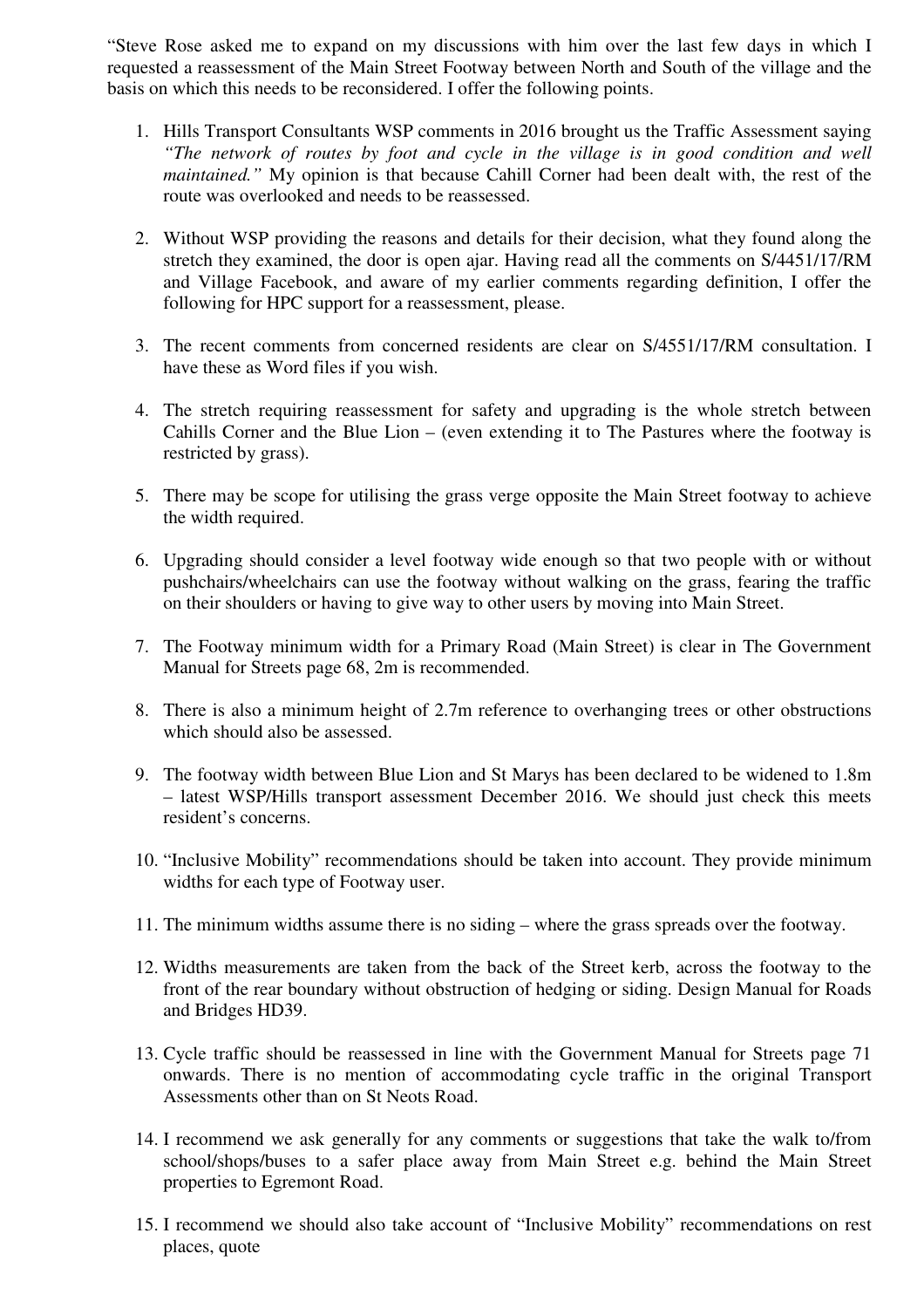"Steve Rose asked me to expand on my discussions with him over the last few days in which I requested a reassessment of the Main Street Footway between North and South of the village and the basis on which this needs to be reconsidered. I offer the following points.

- 1. Hills Transport Consultants WSP comments in 2016 brought us the Traffic Assessment saying *"The network of routes by foot and cycle in the village is in good condition and well maintained."* My opinion is that because Cahill Corner had been dealt with, the rest of the route was overlooked and needs to be reassessed.
- 2. Without WSP providing the reasons and details for their decision, what they found along the stretch they examined, the door is open ajar. Having read all the comments on S/4451/17/RM and Village Facebook, and aware of my earlier comments regarding definition, I offer the following for HPC support for a reassessment, please.
- 3. The recent comments from concerned residents are clear on S/4551/17/RM consultation. I have these as Word files if you wish.
- 4. The stretch requiring reassessment for safety and upgrading is the whole stretch between Cahills Corner and the Blue Lion – (even extending it to The Pastures where the footway is restricted by grass).
- 5. There may be scope for utilising the grass verge opposite the Main Street footway to achieve the width required.
- 6. Upgrading should consider a level footway wide enough so that two people with or without pushchairs/wheelchairs can use the footway without walking on the grass, fearing the traffic on their shoulders or having to give way to other users by moving into Main Street.
- 7. The Footway minimum width for a Primary Road (Main Street) is clear in The Government Manual for Streets page 68, 2m is recommended.
- 8. There is also a minimum height of 2.7m reference to overhanging trees or other obstructions which should also be assessed.
- 9. The footway width between Blue Lion and St Marys has been declared to be widened to 1.8m – latest WSP/Hills transport assessment December 2016. We should just check this meets resident's concerns.
- 10. "Inclusive Mobility" recommendations should be taken into account. They provide minimum widths for each type of Footway user.
- 11. The minimum widths assume there is no siding where the grass spreads over the footway.
- 12. Widths measurements are taken from the back of the Street kerb, across the footway to the front of the rear boundary without obstruction of hedging or siding. Design Manual for Roads and Bridges HD39.
- 13. Cycle traffic should be reassessed in line with the Government Manual for Streets page 71 onwards. There is no mention of accommodating cycle traffic in the original Transport Assessments other than on St Neots Road.
- 14. I recommend we ask generally for any comments or suggestions that take the walk to/from school/shops/buses to a safer place away from Main Street e.g. behind the Main Street properties to Egremont Road.
- 15. I recommend we should also take account of "Inclusive Mobility" recommendations on rest places, quote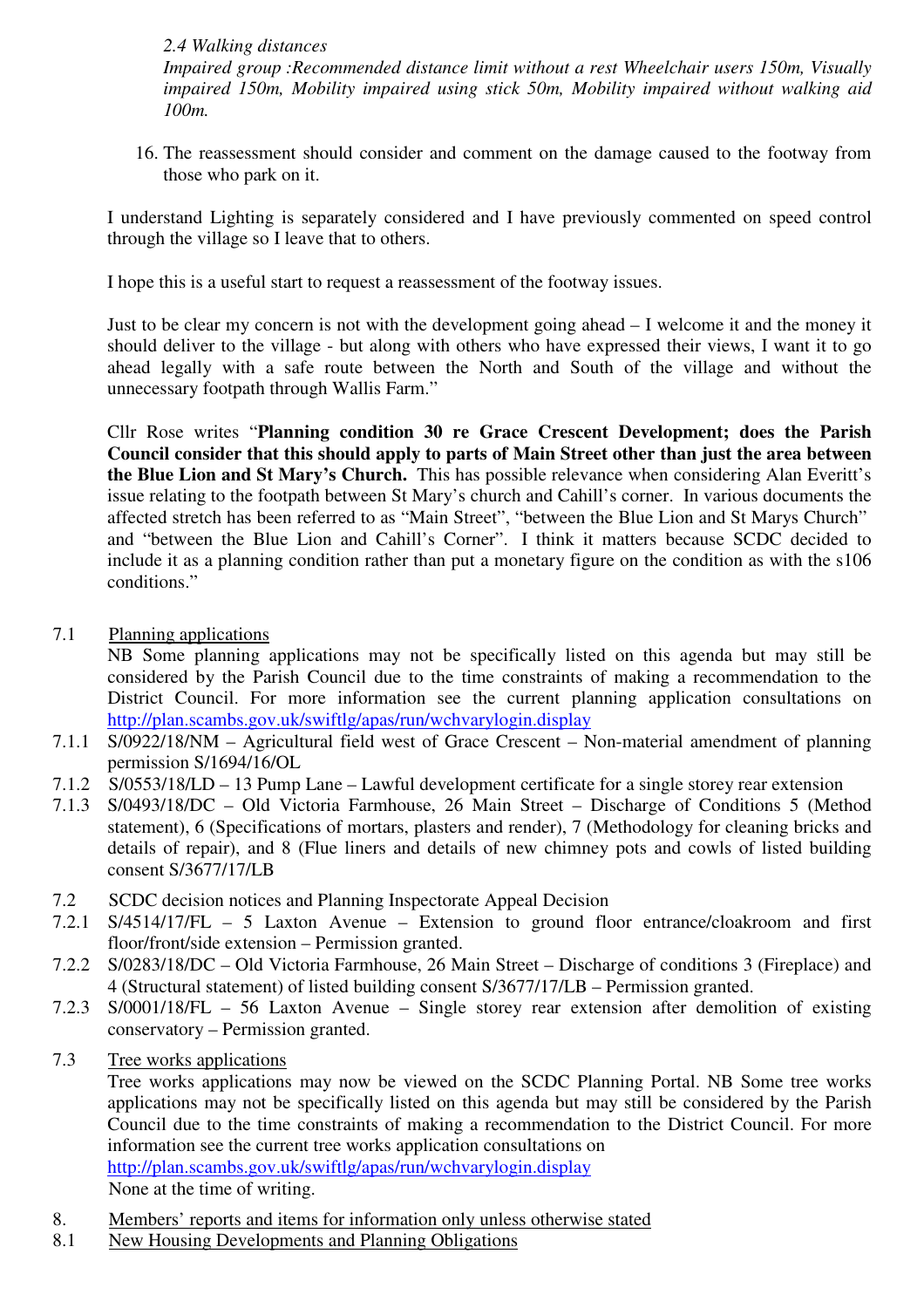# *2.4 Walking distances*

*Impaired group :Recommended distance limit without a rest Wheelchair users 150m, Visually impaired 150m, Mobility impaired using stick 50m, Mobility impaired without walking aid 100m.* 

16. The reassessment should consider and comment on the damage caused to the footway from those who park on it.

I understand Lighting is separately considered and I have previously commented on speed control through the village so I leave that to others.

I hope this is a useful start to request a reassessment of the footway issues.

Just to be clear my concern is not with the development going ahead – I welcome it and the money it should deliver to the village - but along with others who have expressed their views, I want it to go ahead legally with a safe route between the North and South of the village and without the unnecessary footpath through Wallis Farm."

Cllr Rose writes "**Planning condition 30 re Grace Crescent Development; does the Parish Council consider that this should apply to parts of Main Street other than just the area between the Blue Lion and St Mary's Church.** This has possible relevance when considering Alan Everitt's issue relating to the footpath between St Mary's church and Cahill's corner. In various documents the affected stretch has been referred to as "Main Street", "between the Blue Lion and St Marys Church" and "between the Blue Lion and Cahill's Corner". I think it matters because SCDC decided to include it as a planning condition rather than put a monetary figure on the condition as with the s106 conditions."

7.1 Planning applications

NB Some planning applications may not be specifically listed on this agenda but may still be considered by the Parish Council due to the time constraints of making a recommendation to the District Council. For more information see the current planning application consultations on http://plan.scambs.gov.uk/swiftlg/apas/run/wchvarylogin.display

- 7.1.1 S/0922/18/NM Agricultural field west of Grace Crescent Non-material amendment of planning permission S/1694/16/OL
- 7.1.2 S/0553/18/LD 13 Pump Lane Lawful development certificate for a single storey rear extension
- 7.1.3 S/0493/18/DC Old Victoria Farmhouse, 26 Main Street Discharge of Conditions 5 (Method statement), 6 (Specifications of mortars, plasters and render), 7 (Methodology for cleaning bricks and details of repair), and 8 (Flue liners and details of new chimney pots and cowls of listed building consent S/3677/17/LB
- 7.2 SCDC decision notices and Planning Inspectorate Appeal Decision
- 7.2.1 S/4514/17/FL 5 Laxton Avenue Extension to ground floor entrance/cloakroom and first floor/front/side extension – Permission granted.
- 7.2.2 S/0283/18/DC Old Victoria Farmhouse, 26 Main Street Discharge of conditions 3 (Fireplace) and 4 (Structural statement) of listed building consent S/3677/17/LB – Permission granted.
- 7.2.3 S/0001/18/FL 56 Laxton Avenue Single storey rear extension after demolition of existing conservatory – Permission granted.
- 7.3 Tree works applications

Tree works applications may now be viewed on the SCDC Planning Portal. NB Some tree works applications may not be specifically listed on this agenda but may still be considered by the Parish Council due to the time constraints of making a recommendation to the District Council. For more information see the current tree works application consultations on http://plan.scambs.gov.uk/swiftlg/apas/run/wchvarylogin.display

None at the time of writing.

- 8. Members' reports and items for information only unless otherwise stated
- 8.1 New Housing Developments and Planning Obligations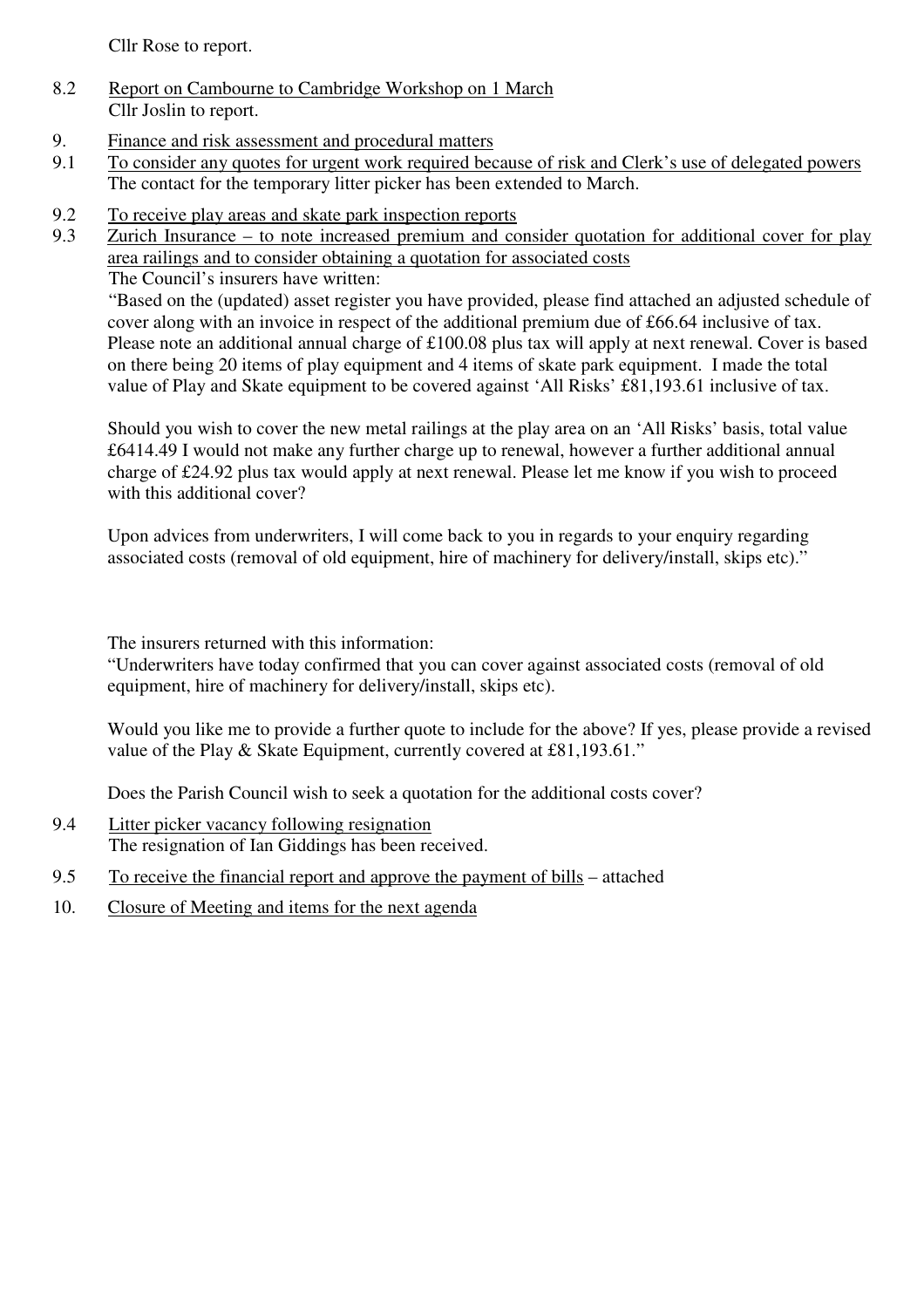Cllr Rose to report.

- 8.2 Report on Cambourne to Cambridge Workshop on 1 March Cllr Joslin to report.
- 9. Finance and risk assessment and procedural matters
- 9.1 To consider any quotes for urgent work required because of risk and Clerk's use of delegated powers The contact for the temporary litter picker has been extended to March.
- 9.2 To receive play areas and skate park inspection reports
- 9.3 Zurich Insurance to note increased premium and consider quotation for additional cover for play area railings and to consider obtaining a quotation for associated costs

The Council's insurers have written:

"Based on the (updated) asset register you have provided, please find attached an adjusted schedule of cover along with an invoice in respect of the additional premium due of £66.64 inclusive of tax. Please note an additional annual charge of £100.08 plus tax will apply at next renewal. Cover is based on there being 20 items of play equipment and 4 items of skate park equipment. I made the total value of Play and Skate equipment to be covered against 'All Risks' £81,193.61 inclusive of tax.

Should you wish to cover the new metal railings at the play area on an 'All Risks' basis, total value £6414.49 I would not make any further charge up to renewal, however a further additional annual charge of £24.92 plus tax would apply at next renewal. Please let me know if you wish to proceed with this additional cover?

Upon advices from underwriters, I will come back to you in regards to your enquiry regarding associated costs (removal of old equipment, hire of machinery for delivery/install, skips etc)."

The insurers returned with this information:

"Underwriters have today confirmed that you can cover against associated costs (removal of old equipment, hire of machinery for delivery/install, skips etc).

Would you like me to provide a further quote to include for the above? If yes, please provide a revised value of the Play & Skate Equipment, currently covered at £81,193.61."

Does the Parish Council wish to seek a quotation for the additional costs cover?

- 9.4 Litter picker vacancy following resignation The resignation of Ian Giddings has been received.
- 9.5 To receive the financial report and approve the payment of bills attached
- 10. Closure of Meeting and items for the next agenda